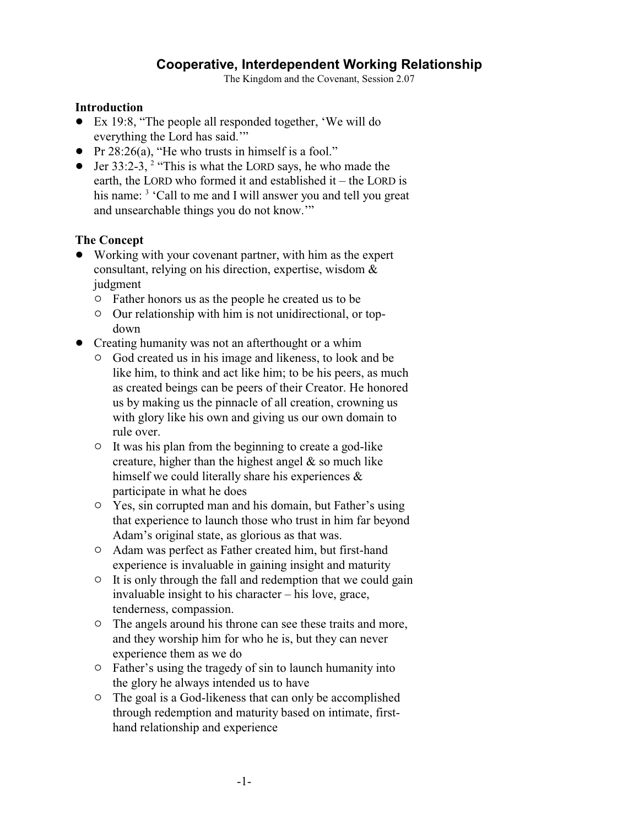## **Cooperative, Interdependent Working Relationship**

The Kingdom and the Covenant, Session 2.07

## **Introduction**

- ! Ex 19:8, "The people all responded together, 'We will do everything the Lord has said.'"
- Pr  $28:26(a)$ , "He who trusts in himself is a fool."
- Jer 33:2-3,  $2$  "This is what the LORD says, he who made the earth, the LORD who formed it and established it – the LORD is his name: <sup>3</sup> 'Call to me and I will answer you and tell you great and unsearchable things you do not know.'"

## **The Concept**

- ! Working with your covenant partner, with him as the expert consultant, relying on his direction, expertise, wisdom & judgment
	- $\circ$  Father honors us as the people he created us to be
	- $\circ$  Our relationship with him is not unidirectional, or topdown
- Creating humanity was not an afterthought or a whim
	- $\circ$  God created us in his image and likeness, to look and be like him, to think and act like him; to be his peers, as much as created beings can be peers of their Creator. He honored us by making us the pinnacle of all creation, crowning us with glory like his own and giving us our own domain to rule over.
	- $\circ$  It was his plan from the beginning to create a god-like creature, higher than the highest angel  $\&$  so much like himself we could literally share his experiences  $\&$ participate in what he does
	- " Yes, sin corrupted man and his domain, but Father's using that experience to launch those who trust in him far beyond Adam's original state, as glorious as that was.
	- $\circ$  Adam was perfect as Father created him, but first-hand experience is invaluable in gaining insight and maturity
	- $\circ$  It is only through the fall and redemption that we could gain invaluable insight to his character – his love, grace, tenderness, compassion.
	- $\circ$  The angels around his throne can see these traits and more, and they worship him for who he is, but they can never experience them as we do
	- $\circ$  Father's using the tragedy of sin to launch humanity into the glory he always intended us to have
	- $\circ$  The goal is a God-likeness that can only be accomplished through redemption and maturity based on intimate, firsthand relationship and experience